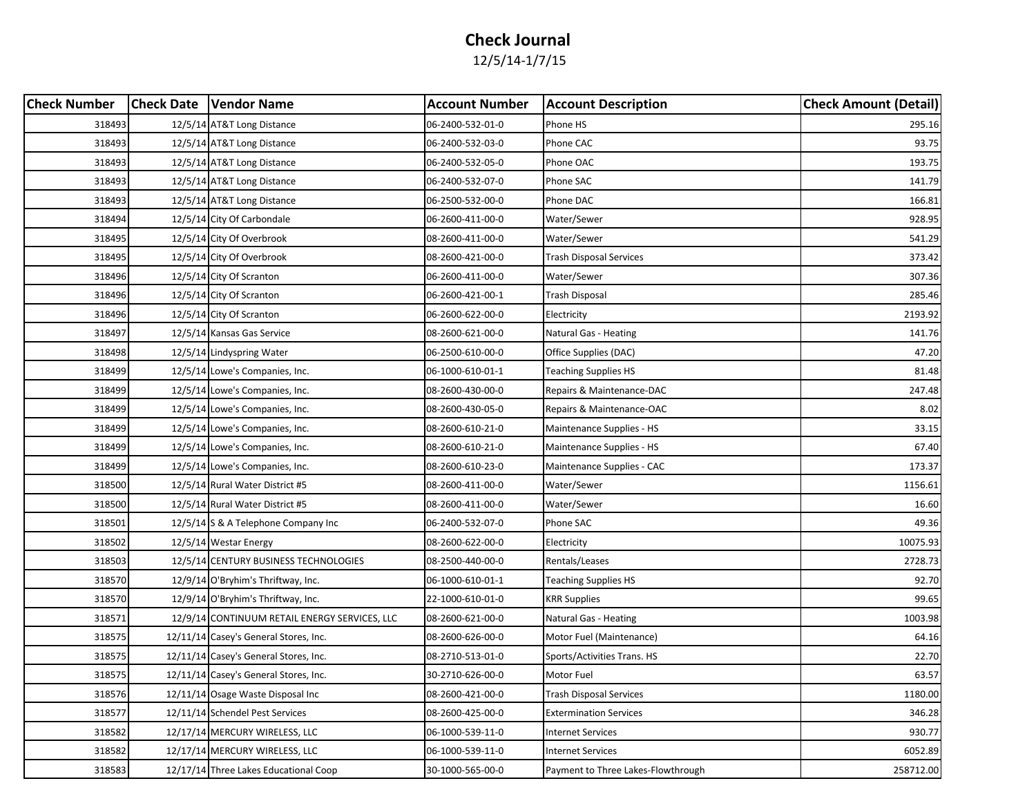| <b>Check Number</b> | <b>Check Date   Vendor Name</b>               | <b>Account Number</b> | <b>Account Description</b>         | <b>Check Amount (Detail)</b> |
|---------------------|-----------------------------------------------|-----------------------|------------------------------------|------------------------------|
| 318493              | 12/5/14 AT&T Long Distance                    | 06-2400-532-01-0      | Phone HS                           | 295.16                       |
| 318493              | 12/5/14 AT&T Long Distance                    | 06-2400-532-03-0      | Phone CAC                          | 93.75                        |
| 318493              | 12/5/14 AT&T Long Distance                    | 06-2400-532-05-0      | Phone OAC                          | 193.75                       |
| 318493              | 12/5/14 AT&T Long Distance                    | 06-2400-532-07-0      | Phone SAC                          | 141.79                       |
| 318493              | 12/5/14 AT&T Long Distance                    | 06-2500-532-00-0      | Phone DAC                          | 166.81                       |
| 318494              | 12/5/14 City Of Carbondale                    | 06-2600-411-00-0      | Water/Sewer                        | 928.95                       |
| 318495              | 12/5/14 City Of Overbrook                     | 08-2600-411-00-0      | Water/Sewer                        | 541.29                       |
| 318495              | 12/5/14 City Of Overbrook                     | 08-2600-421-00-0      | Trash Disposal Services            | 373.42                       |
| 318496              | 12/5/14 City Of Scranton                      | 06-2600-411-00-0      | Water/Sewer                        | 307.36                       |
| 318496              | 12/5/14 City Of Scranton                      | 06-2600-421-00-1      | Trash Disposal                     | 285.46                       |
| 318496              | 12/5/14 City Of Scranton                      | 06-2600-622-00-0      | Electricity                        | 2193.92                      |
| 318497              | 12/5/14 Kansas Gas Service                    | 08-2600-621-00-0      | Natural Gas - Heating              | 141.76                       |
| 318498              | 12/5/14 Lindyspring Water                     | 06-2500-610-00-0      | Office Supplies (DAC)              | 47.20                        |
| 318499              | 12/5/14 Lowe's Companies, Inc.                | 06-1000-610-01-1      | Teaching Supplies HS               | 81.48                        |
| 318499              | 12/5/14 Lowe's Companies, Inc.                | 08-2600-430-00-0      | Repairs & Maintenance-DAC          | 247.48                       |
| 318499              | 12/5/14 Lowe's Companies, Inc.                | 08-2600-430-05-0      | Repairs & Maintenance-OAC          | 8.02                         |
| 318499              | 12/5/14 Lowe's Companies, Inc.                | 08-2600-610-21-0      | Maintenance Supplies - HS          | 33.15                        |
| 318499              | 12/5/14 Lowe's Companies, Inc.                | 08-2600-610-21-0      | Maintenance Supplies - HS          | 67.40                        |
| 318499              | 12/5/14 Lowe's Companies, Inc.                | 08-2600-610-23-0      | Maintenance Supplies - CAC         | 173.37                       |
| 318500              | 12/5/14 Rural Water District #5               | 08-2600-411-00-0      | Water/Sewer                        | 1156.61                      |
| 318500              | 12/5/14 Rural Water District #5               | 08-2600-411-00-0      | Water/Sewer                        | 16.60                        |
| 318501              | 12/5/14 S & A Telephone Company Inc           | 06-2400-532-07-0      | Phone SAC                          | 49.36                        |
| 318502              | 12/5/14 Westar Energy                         | 08-2600-622-00-0      | Electricity                        | 10075.93                     |
| 318503              | 12/5/14 CENTURY BUSINESS TECHNOLOGIES         | 08-2500-440-00-0      | Rentals/Leases                     | 2728.73                      |
| 318570              | 12/9/14 O'Bryhim's Thriftway, Inc.            | 06-1000-610-01-1      | Teaching Supplies HS               | 92.70                        |
| 318570              | 12/9/14 O'Bryhim's Thriftway, Inc.            | 22-1000-610-01-0      | <b>KRR Supplies</b>                | 99.65                        |
| 318571              | 12/9/14 CONTINUUM RETAIL ENERGY SERVICES, LLC | 08-2600-621-00-0      | Natural Gas - Heating              | 1003.98                      |
| 318575              | 12/11/14 Casey's General Stores, Inc.         | 08-2600-626-00-0      | Motor Fuel (Maintenance)           | 64.16                        |
| 318575              | 12/11/14 Casey's General Stores, Inc.         | 08-2710-513-01-0      | Sports/Activities Trans. HS        | 22.70                        |
| 318575              | 12/11/14 Casey's General Stores, Inc.         | 30-2710-626-00-0      | Motor Fuel                         | 63.57                        |
| 318576              | 12/11/14 Osage Waste Disposal Inc             | 08-2600-421-00-0      | <b>Trash Disposal Services</b>     | 1180.00                      |
| 318577              | 12/11/14 Schendel Pest Services               | 08-2600-425-00-0      | <b>Extermination Services</b>      | 346.28                       |
| 318582              | 12/17/14 MERCURY WIRELESS, LLC                | 06-1000-539-11-0      | <b>Internet Services</b>           | 930.77                       |
| 318582              | 12/17/14 MERCURY WIRELESS, LLC                | 06-1000-539-11-0      | Internet Services                  | 6052.89                      |
| 318583              | 12/17/14 Three Lakes Educational Coop         | 30-1000-565-00-0      | Payment to Three Lakes-Flowthrough | 258712.00                    |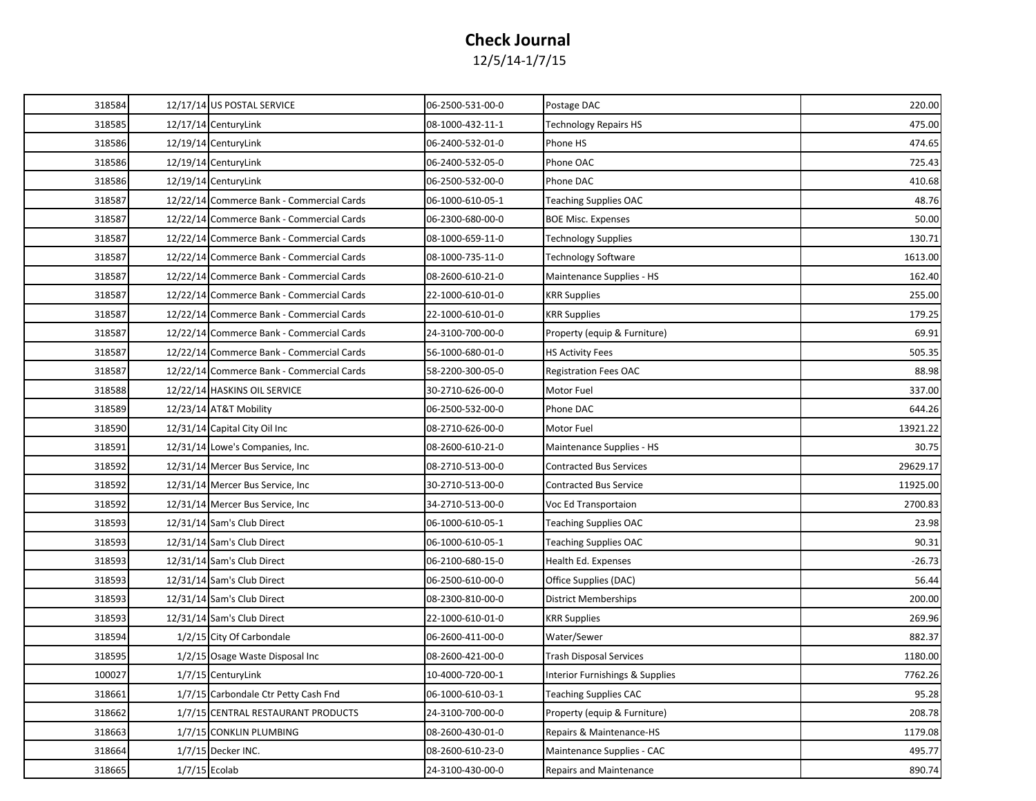| 318584 | 12/17/14 US POSTAL SERVICE                | 06-2500-531-00-0 | Postage DAC                     | 220.00   |
|--------|-------------------------------------------|------------------|---------------------------------|----------|
| 318585 | 12/17/14 CenturyLink                      | 08-1000-432-11-1 | Technology Repairs HS           | 475.00   |
| 318586 | 12/19/14 CenturyLink                      | 06-2400-532-01-0 | Phone HS                        | 474.65   |
| 318586 | 12/19/14 CenturyLink                      | 06-2400-532-05-0 | Phone OAC                       | 725.43   |
| 318586 | 12/19/14 CenturyLink                      | 06-2500-532-00-0 | Phone DAC                       | 410.68   |
| 318587 | 12/22/14 Commerce Bank - Commercial Cards | 06-1000-610-05-1 | <b>Teaching Supplies OAC</b>    | 48.76    |
| 318587 | 12/22/14 Commerce Bank - Commercial Cards | 06-2300-680-00-0 | <b>BOE Misc. Expenses</b>       | 50.00    |
| 318587 | 12/22/14 Commerce Bank - Commercial Cards | 08-1000-659-11-0 | <b>Technology Supplies</b>      | 130.71   |
| 318587 | 12/22/14 Commerce Bank - Commercial Cards | 08-1000-735-11-0 | Technology Software             | 1613.00  |
| 318587 | 12/22/14 Commerce Bank - Commercial Cards | 08-2600-610-21-0 | Maintenance Supplies - HS       | 162.40   |
| 318587 | 12/22/14 Commerce Bank - Commercial Cards | 22-1000-610-01-0 | <b>KRR Supplies</b>             | 255.00   |
| 318587 | 12/22/14 Commerce Bank - Commercial Cards | 22-1000-610-01-0 | <b>KRR Supplies</b>             | 179.25   |
| 318587 | 12/22/14 Commerce Bank - Commercial Cards | 24-3100-700-00-0 | Property (equip & Furniture)    | 69.91    |
| 318587 | 12/22/14 Commerce Bank - Commercial Cards | 56-1000-680-01-0 | HS Activity Fees                | 505.35   |
| 318587 | 12/22/14 Commerce Bank - Commercial Cards | 58-2200-300-05-0 | <b>Registration Fees OAC</b>    | 88.98    |
| 318588 | 12/22/14 HASKINS OIL SERVICE              | 30-2710-626-00-0 | Motor Fuel                      | 337.00   |
| 318589 | 12/23/14 AT&T Mobility                    | 06-2500-532-00-0 | Phone DAC                       | 644.26   |
| 318590 | 12/31/14 Capital City Oil Inc             | 08-2710-626-00-0 | Motor Fuel                      | 13921.22 |
| 318591 | 12/31/14 Lowe's Companies, Inc.           | 08-2600-610-21-0 | Maintenance Supplies - HS       | 30.75    |
| 318592 | 12/31/14 Mercer Bus Service, Inc          | 08-2710-513-00-0 | <b>Contracted Bus Services</b>  | 29629.17 |
| 318592 | 12/31/14 Mercer Bus Service, Inc.         | 30-2710-513-00-0 | <b>Contracted Bus Service</b>   | 11925.00 |
| 318592 | 12/31/14 Mercer Bus Service, Inc          | 34-2710-513-00-0 | Voc Ed Transportaion            | 2700.83  |
| 318593 | 12/31/14 Sam's Club Direct                | 06-1000-610-05-1 | Teaching Supplies OAC           | 23.98    |
| 318593 | 12/31/14 Sam's Club Direct                | 06-1000-610-05-1 | Teaching Supplies OAC           | 90.31    |
| 318593 | 12/31/14 Sam's Club Direct                | 06-2100-680-15-0 | Health Ed. Expenses             | $-26.73$ |
| 318593 | 12/31/14 Sam's Club Direct                | 06-2500-610-00-0 | Office Supplies (DAC)           | 56.44    |
| 318593 | 12/31/14 Sam's Club Direct                | 08-2300-810-00-0 | District Memberships            | 200.00   |
| 318593 | 12/31/14 Sam's Club Direct                | 22-1000-610-01-0 | <b>KRR Supplies</b>             | 269.96   |
| 318594 | 1/2/15 City Of Carbondale                 | 06-2600-411-00-0 | Water/Sewer                     | 882.37   |
| 318595 | 1/2/15 Osage Waste Disposal Inc           | 08-2600-421-00-0 | <b>Trash Disposal Services</b>  | 1180.00  |
| 100027 | 1/7/15 CenturyLink                        | 10-4000-720-00-1 | Interior Furnishings & Supplies | 7762.26  |
| 318661 | 1/7/15 Carbondale Ctr Petty Cash Fnd      | 06-1000-610-03-1 | <b>Teaching Supplies CAC</b>    | 95.28    |
| 318662 | 1/7/15 CENTRAL RESTAURANT PRODUCTS        | 24-3100-700-00-0 | Property (equip & Furniture)    | 208.78   |
| 318663 | 1/7/15 CONKLIN PLUMBING                   | 08-2600-430-01-0 | Repairs & Maintenance-HS        | 1179.08  |
| 318664 | 1/7/15 Decker INC.                        | 08-2600-610-23-0 | Maintenance Supplies - CAC      | 495.77   |
| 318665 | $1/7/15$ Ecolab                           | 24-3100-430-00-0 | <b>Repairs and Maintenance</b>  | 890.74   |
|        |                                           |                  |                                 |          |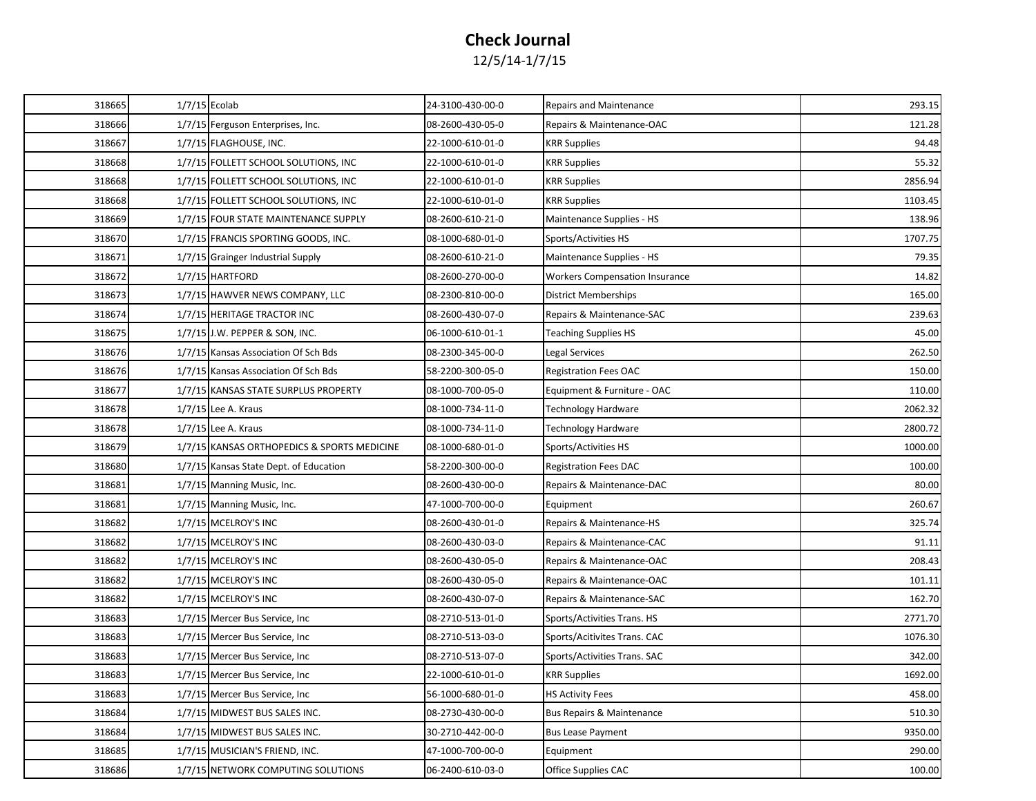| 318665 | $1/7/15$ Ecolab |                                             | 24-3100-430-00-0 | <b>Repairs and Maintenance</b>        | 293.15  |
|--------|-----------------|---------------------------------------------|------------------|---------------------------------------|---------|
| 318666 |                 | 1/7/15 Ferguson Enterprises, Inc.           | 08-2600-430-05-0 | Repairs & Maintenance-OAC             | 121.28  |
| 318667 |                 | 1/7/15 FLAGHOUSE, INC.                      | 22-1000-610-01-0 | <b>KRR Supplies</b>                   | 94.48   |
| 318668 |                 | 1/7/15 FOLLETT SCHOOL SOLUTIONS, INC        | 22-1000-610-01-0 | <b>KRR Supplies</b>                   | 55.32   |
| 318668 |                 | 1/7/15 FOLLETT SCHOOL SOLUTIONS, INC        | 22-1000-610-01-0 | <b>KRR Supplies</b>                   | 2856.94 |
| 318668 |                 | 1/7/15 FOLLETT SCHOOL SOLUTIONS, INC        | 22-1000-610-01-0 | <b>KRR Supplies</b>                   | 1103.45 |
| 318669 |                 | 1/7/15 FOUR STATE MAINTENANCE SUPPLY        | 08-2600-610-21-0 | Maintenance Supplies - HS             | 138.96  |
| 318670 |                 | 1/7/15 FRANCIS SPORTING GOODS, INC.         | 08-1000-680-01-0 | Sports/Activities HS                  | 1707.75 |
| 318671 |                 | 1/7/15 Grainger Industrial Supply           | 08-2600-610-21-0 | Maintenance Supplies - HS             | 79.35   |
| 318672 |                 | 1/7/15 HARTFORD                             | 08-2600-270-00-0 | <b>Workers Compensation Insurance</b> | 14.82   |
| 318673 |                 | 1/7/15 HAWVER NEWS COMPANY, LLC             | 08-2300-810-00-0 | <b>District Memberships</b>           | 165.00  |
| 318674 |                 | 1/7/15 HERITAGE TRACTOR INC                 | 08-2600-430-07-0 | Repairs & Maintenance-SAC             | 239.63  |
| 318675 |                 | 1/7/15 J.W. PEPPER & SON, INC.              | 06-1000-610-01-1 | <b>Teaching Supplies HS</b>           | 45.00   |
| 318676 |                 | 1/7/15 Kansas Association Of Sch Bds        | 08-2300-345-00-0 | Legal Services                        | 262.50  |
| 318676 |                 | 1/7/15 Kansas Association Of Sch Bds        | 58-2200-300-05-0 | <b>Registration Fees OAC</b>          | 150.00  |
| 318677 |                 | 1/7/15 KANSAS STATE SURPLUS PROPERTY        | 08-1000-700-05-0 | Equipment & Furniture - OAC           | 110.00  |
| 318678 |                 | $1/7/15$ Lee A. Kraus                       | 08-1000-734-11-0 | Technology Hardware                   | 2062.32 |
| 318678 |                 | $1/7/15$ Lee A. Kraus                       | 08-1000-734-11-0 | Technology Hardware                   | 2800.72 |
| 318679 |                 | 1/7/15 KANSAS ORTHOPEDICS & SPORTS MEDICINE | 08-1000-680-01-0 | Sports/Activities HS                  | 1000.00 |
| 318680 |                 | 1/7/15 Kansas State Dept. of Education      | 58-2200-300-00-0 | <b>Registration Fees DAC</b>          | 100.00  |
| 318681 |                 | 1/7/15 Manning Music, Inc.                  | 08-2600-430-00-0 | Repairs & Maintenance-DAC             | 80.00   |
| 318681 |                 | 1/7/15 Manning Music, Inc.                  | 47-1000-700-00-0 | Equipment                             | 260.67  |
| 318682 |                 | 1/7/15 MCELROY'S INC                        | 08-2600-430-01-0 | Repairs & Maintenance-HS              | 325.74  |
| 318682 |                 | 1/7/15 MCELROY'S INC                        | 08-2600-430-03-0 | Repairs & Maintenance-CAC             | 91.11   |
| 318682 |                 | 1/7/15 MCELROY'S INC                        | 08-2600-430-05-0 | Repairs & Maintenance-OAC             | 208.43  |
| 318682 |                 | 1/7/15 MCELROY'S INC                        | 08-2600-430-05-0 | Repairs & Maintenance-OAC             | 101.11  |
| 318682 |                 | 1/7/15 MCELROY'S INC                        | 08-2600-430-07-0 | Repairs & Maintenance-SAC             | 162.70  |
| 318683 |                 | 1/7/15 Mercer Bus Service, Inc.             | 08-2710-513-01-0 | Sports/Activities Trans. HS           | 2771.70 |
| 318683 |                 | 1/7/15 Mercer Bus Service, Inc              | 08-2710-513-03-0 | Sports/Acitivites Trans. CAC          | 1076.30 |
| 318683 |                 | 1/7/15 Mercer Bus Service, Inc.             | 08-2710-513-07-0 | Sports/Activities Trans. SAC          | 342.00  |
| 318683 |                 | 1/7/15 Mercer Bus Service, Inc.             | 22-1000-610-01-0 | <b>KRR Supplies</b>                   | 1692.00 |
| 318683 |                 | 1/7/15 Mercer Bus Service, Inc.             | 56-1000-680-01-0 | <b>HS Activity Fees</b>               | 458.00  |
| 318684 |                 | 1/7/15 MIDWEST BUS SALES INC.               | 08-2730-430-00-0 | Bus Repairs & Maintenance             | 510.30  |
| 318684 |                 | 1/7/15 MIDWEST BUS SALES INC.               | 30-2710-442-00-0 | <b>Bus Lease Payment</b>              | 9350.00 |
| 318685 |                 | 1/7/15 MUSICIAN'S FRIEND, INC.              | 47-1000-700-00-0 | Equipment                             | 290.00  |
| 318686 |                 | 1/7/15 NETWORK COMPUTING SOLUTIONS          | 06-2400-610-03-0 | Office Supplies CAC                   | 100.00  |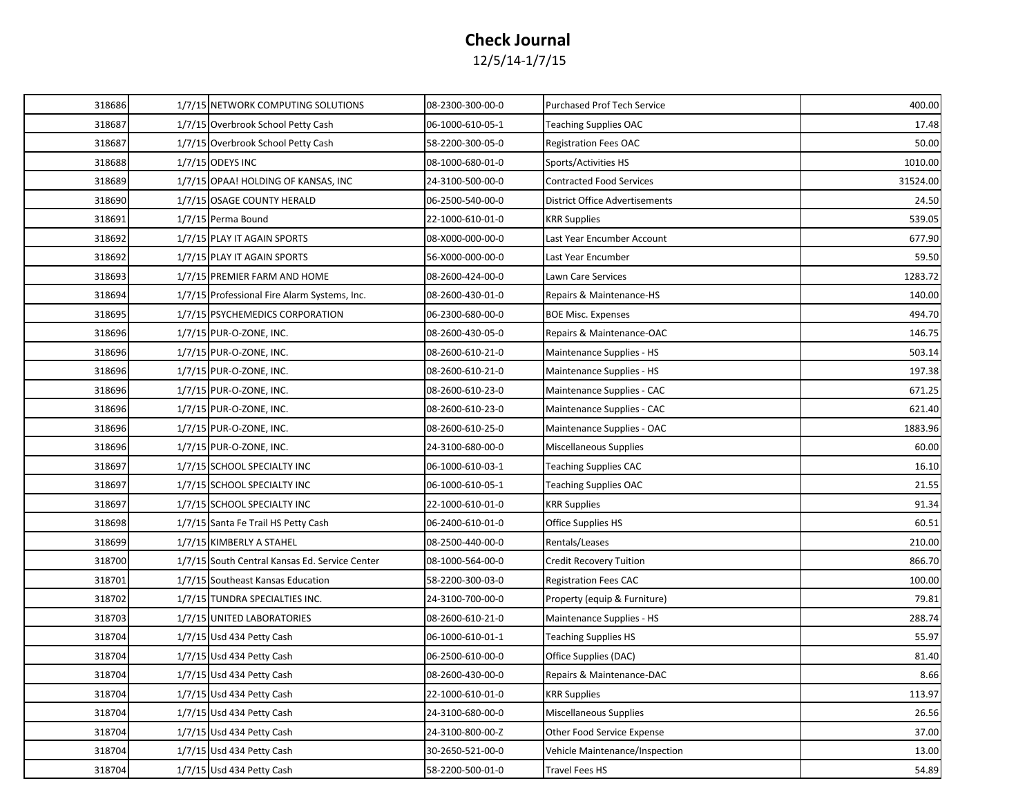| 318686<br>08-2300-300-00-0<br>400.00<br>1/7/15 NETWORK COMPUTING SOLUTIONS<br><b>Purchased Prof Tech Service</b><br>318687<br>1/7/15 Overbrook School Petty Cash<br>06-1000-610-05-1<br><b>Teaching Supplies OAC</b><br>17.48<br>318687<br>1/7/15 Overbrook School Petty Cash<br>58-2200-300-05-0<br><b>Registration Fees OAC</b><br>50.00<br>318688<br>1/7/15 ODEYS INC<br>08-1000-680-01-0<br>1010.00<br>Sports/Activities HS<br>318689<br>1/7/15 OPAA! HOLDING OF KANSAS, INC<br>24-3100-500-00-0<br><b>Contracted Food Services</b><br>31524.00<br>318690<br>1/7/15 OSAGE COUNTY HERALD<br>06-2500-540-00-0<br><b>District Office Advertisements</b><br>24.50<br>318691<br>1/7/15 Perma Bound<br>539.05<br>22-1000-610-01-0<br>KRR Supplies<br>318692<br>1/7/15 PLAY IT AGAIN SPORTS<br>08-X000-000-00-0<br>Last Year Encumber Account<br>677.90<br>318692<br>1/7/15 PLAY IT AGAIN SPORTS<br>59.50<br>56-X000-000-00-0<br>Last Year Encumber<br>1283.72<br>318693<br>1/7/15 PREMIER FARM AND HOME<br>08-2600-424-00-0<br>Lawn Care Services<br>318694<br>140.00<br>1/7/15 Professional Fire Alarm Systems, Inc.<br>08-2600-430-01-0<br>Repairs & Maintenance-HS<br>318695<br>1/7/15 PSYCHEMEDICS CORPORATION<br>06-2300-680-00-0<br>494.70<br><b>BOE Misc. Expenses</b><br>318696<br>1/7/15 PUR-O-ZONE, INC.<br>08-2600-430-05-0<br>146.75<br>Repairs & Maintenance-OAC<br>318696<br>1/7/15 PUR-O-ZONE, INC.<br>08-2600-610-21-0<br>503.14<br>Maintenance Supplies - HS<br>318696<br>1/7/15 PUR-O-ZONE, INC.<br>08-2600-610-21-0<br>Maintenance Supplies - HS<br>197.38<br>318696<br>1/7/15 PUR-O-ZONE, INC.<br>08-2600-610-23-0<br>Maintenance Supplies - CAC<br>671.25<br>318696<br>08-2600-610-23-0<br>621.40<br>1/7/15 PUR-O-ZONE, INC.<br>Maintenance Supplies - CAC<br>318696<br>1/7/15 PUR-O-ZONE, INC.<br>08-2600-610-25-0<br>1883.96<br>Maintenance Supplies - OAC<br>318696<br>1/7/15 PUR-O-ZONE, INC.<br>60.00<br>24-3100-680-00-0<br>Miscellaneous Supplies<br>318697<br>1/7/15 SCHOOL SPECIALTY INC<br>06-1000-610-03-1<br><b>Teaching Supplies CAC</b><br>16.10<br>318697<br>1/7/15 SCHOOL SPECIALTY INC<br>06-1000-610-05-1<br>21.55<br>Teaching Supplies OAC<br>91.34<br>318697<br>1/7/15 SCHOOL SPECIALTY INC<br>22-1000-610-01-0<br><b>KRR Supplies</b><br>318698<br>60.51<br>06-2400-610-01-0<br>Office Supplies HS<br>1/7/15 Santa Fe Trail HS Petty Cash<br>318699<br>1/7/15 KIMBERLY A STAHEL<br>Rentals/Leases<br>210.00<br>08-2500-440-00-0<br>318700<br>1/7/15 South Central Kansas Ed. Service Center<br>08-1000-564-00-0<br><b>Credit Recovery Tuition</b><br>866.70<br>318701<br>1/7/15 Southeast Kansas Education<br>100.00<br>58-2200-300-03-0<br>Registration Fees CAC<br>318702<br>1/7/15 TUNDRA SPECIALTIES INC.<br>24-3100-700-00-0<br>79.81<br>Property (equip & Furniture)<br>318703<br>1/7/15 UNITED LABORATORIES<br>08-2600-610-21-0<br>288.74<br>Maintenance Supplies - HS<br>318704<br>1/7/15 Usd 434 Petty Cash<br>06-1000-610-01-1<br>55.97<br>Teaching Supplies HS<br>81.40<br>318704<br>1/7/15 Usd 434 Petty Cash<br>06-2500-610-00-0<br>Office Supplies (DAC)<br>318704<br>1/7/15 Usd 434 Petty Cash<br>8.66<br>08-2600-430-00-0<br>Repairs & Maintenance-DAC<br>318704<br>1/7/15 Usd 434 Petty Cash<br>22-1000-610-01-0<br><b>KRR Supplies</b><br>113.97<br>318704<br>1/7/15 Usd 434 Petty Cash<br>Miscellaneous Supplies<br>26.56<br>24-3100-680-00-0<br>318704<br>1/7/15 Usd 434 Petty Cash<br>37.00<br>24-3100-800-00-Z<br>Other Food Service Expense<br>318704<br>1/7/15 Usd 434 Petty Cash<br>30-2650-521-00-0<br>Vehicle Maintenance/Inspection<br>13.00<br>318704<br>1/7/15 Usd 434 Petty Cash<br>58-2200-500-01-0<br>54.89<br>Travel Fees HS |  |  |  |
|--------------------------------------------------------------------------------------------------------------------------------------------------------------------------------------------------------------------------------------------------------------------------------------------------------------------------------------------------------------------------------------------------------------------------------------------------------------------------------------------------------------------------------------------------------------------------------------------------------------------------------------------------------------------------------------------------------------------------------------------------------------------------------------------------------------------------------------------------------------------------------------------------------------------------------------------------------------------------------------------------------------------------------------------------------------------------------------------------------------------------------------------------------------------------------------------------------------------------------------------------------------------------------------------------------------------------------------------------------------------------------------------------------------------------------------------------------------------------------------------------------------------------------------------------------------------------------------------------------------------------------------------------------------------------------------------------------------------------------------------------------------------------------------------------------------------------------------------------------------------------------------------------------------------------------------------------------------------------------------------------------------------------------------------------------------------------------------------------------------------------------------------------------------------------------------------------------------------------------------------------------------------------------------------------------------------------------------------------------------------------------------------------------------------------------------------------------------------------------------------------------------------------------------------------------------------------------------------------------------------------------------------------------------------------------------------------------------------------------------------------------------------------------------------------------------------------------------------------------------------------------------------------------------------------------------------------------------------------------------------------------------------------------------------------------------------------------------------------------------------------------------------------------------------------------------------------------------------------------------------------------------------------------------------------------------------------------------------------------------------------------------------------------------------------------------------------------------------------------------------------------------------------------------------------------------------------------------------------------------------------------------------------------------------------------------------------------|--|--|--|
|                                                                                                                                                                                                                                                                                                                                                                                                                                                                                                                                                                                                                                                                                                                                                                                                                                                                                                                                                                                                                                                                                                                                                                                                                                                                                                                                                                                                                                                                                                                                                                                                                                                                                                                                                                                                                                                                                                                                                                                                                                                                                                                                                                                                                                                                                                                                                                                                                                                                                                                                                                                                                                                                                                                                                                                                                                                                                                                                                                                                                                                                                                                                                                                                                                                                                                                                                                                                                                                                                                                                                                                                                                                                                                        |  |  |  |
|                                                                                                                                                                                                                                                                                                                                                                                                                                                                                                                                                                                                                                                                                                                                                                                                                                                                                                                                                                                                                                                                                                                                                                                                                                                                                                                                                                                                                                                                                                                                                                                                                                                                                                                                                                                                                                                                                                                                                                                                                                                                                                                                                                                                                                                                                                                                                                                                                                                                                                                                                                                                                                                                                                                                                                                                                                                                                                                                                                                                                                                                                                                                                                                                                                                                                                                                                                                                                                                                                                                                                                                                                                                                                                        |  |  |  |
|                                                                                                                                                                                                                                                                                                                                                                                                                                                                                                                                                                                                                                                                                                                                                                                                                                                                                                                                                                                                                                                                                                                                                                                                                                                                                                                                                                                                                                                                                                                                                                                                                                                                                                                                                                                                                                                                                                                                                                                                                                                                                                                                                                                                                                                                                                                                                                                                                                                                                                                                                                                                                                                                                                                                                                                                                                                                                                                                                                                                                                                                                                                                                                                                                                                                                                                                                                                                                                                                                                                                                                                                                                                                                                        |  |  |  |
|                                                                                                                                                                                                                                                                                                                                                                                                                                                                                                                                                                                                                                                                                                                                                                                                                                                                                                                                                                                                                                                                                                                                                                                                                                                                                                                                                                                                                                                                                                                                                                                                                                                                                                                                                                                                                                                                                                                                                                                                                                                                                                                                                                                                                                                                                                                                                                                                                                                                                                                                                                                                                                                                                                                                                                                                                                                                                                                                                                                                                                                                                                                                                                                                                                                                                                                                                                                                                                                                                                                                                                                                                                                                                                        |  |  |  |
|                                                                                                                                                                                                                                                                                                                                                                                                                                                                                                                                                                                                                                                                                                                                                                                                                                                                                                                                                                                                                                                                                                                                                                                                                                                                                                                                                                                                                                                                                                                                                                                                                                                                                                                                                                                                                                                                                                                                                                                                                                                                                                                                                                                                                                                                                                                                                                                                                                                                                                                                                                                                                                                                                                                                                                                                                                                                                                                                                                                                                                                                                                                                                                                                                                                                                                                                                                                                                                                                                                                                                                                                                                                                                                        |  |  |  |
|                                                                                                                                                                                                                                                                                                                                                                                                                                                                                                                                                                                                                                                                                                                                                                                                                                                                                                                                                                                                                                                                                                                                                                                                                                                                                                                                                                                                                                                                                                                                                                                                                                                                                                                                                                                                                                                                                                                                                                                                                                                                                                                                                                                                                                                                                                                                                                                                                                                                                                                                                                                                                                                                                                                                                                                                                                                                                                                                                                                                                                                                                                                                                                                                                                                                                                                                                                                                                                                                                                                                                                                                                                                                                                        |  |  |  |
|                                                                                                                                                                                                                                                                                                                                                                                                                                                                                                                                                                                                                                                                                                                                                                                                                                                                                                                                                                                                                                                                                                                                                                                                                                                                                                                                                                                                                                                                                                                                                                                                                                                                                                                                                                                                                                                                                                                                                                                                                                                                                                                                                                                                                                                                                                                                                                                                                                                                                                                                                                                                                                                                                                                                                                                                                                                                                                                                                                                                                                                                                                                                                                                                                                                                                                                                                                                                                                                                                                                                                                                                                                                                                                        |  |  |  |
|                                                                                                                                                                                                                                                                                                                                                                                                                                                                                                                                                                                                                                                                                                                                                                                                                                                                                                                                                                                                                                                                                                                                                                                                                                                                                                                                                                                                                                                                                                                                                                                                                                                                                                                                                                                                                                                                                                                                                                                                                                                                                                                                                                                                                                                                                                                                                                                                                                                                                                                                                                                                                                                                                                                                                                                                                                                                                                                                                                                                                                                                                                                                                                                                                                                                                                                                                                                                                                                                                                                                                                                                                                                                                                        |  |  |  |
|                                                                                                                                                                                                                                                                                                                                                                                                                                                                                                                                                                                                                                                                                                                                                                                                                                                                                                                                                                                                                                                                                                                                                                                                                                                                                                                                                                                                                                                                                                                                                                                                                                                                                                                                                                                                                                                                                                                                                                                                                                                                                                                                                                                                                                                                                                                                                                                                                                                                                                                                                                                                                                                                                                                                                                                                                                                                                                                                                                                                                                                                                                                                                                                                                                                                                                                                                                                                                                                                                                                                                                                                                                                                                                        |  |  |  |
|                                                                                                                                                                                                                                                                                                                                                                                                                                                                                                                                                                                                                                                                                                                                                                                                                                                                                                                                                                                                                                                                                                                                                                                                                                                                                                                                                                                                                                                                                                                                                                                                                                                                                                                                                                                                                                                                                                                                                                                                                                                                                                                                                                                                                                                                                                                                                                                                                                                                                                                                                                                                                                                                                                                                                                                                                                                                                                                                                                                                                                                                                                                                                                                                                                                                                                                                                                                                                                                                                                                                                                                                                                                                                                        |  |  |  |
|                                                                                                                                                                                                                                                                                                                                                                                                                                                                                                                                                                                                                                                                                                                                                                                                                                                                                                                                                                                                                                                                                                                                                                                                                                                                                                                                                                                                                                                                                                                                                                                                                                                                                                                                                                                                                                                                                                                                                                                                                                                                                                                                                                                                                                                                                                                                                                                                                                                                                                                                                                                                                                                                                                                                                                                                                                                                                                                                                                                                                                                                                                                                                                                                                                                                                                                                                                                                                                                                                                                                                                                                                                                                                                        |  |  |  |
|                                                                                                                                                                                                                                                                                                                                                                                                                                                                                                                                                                                                                                                                                                                                                                                                                                                                                                                                                                                                                                                                                                                                                                                                                                                                                                                                                                                                                                                                                                                                                                                                                                                                                                                                                                                                                                                                                                                                                                                                                                                                                                                                                                                                                                                                                                                                                                                                                                                                                                                                                                                                                                                                                                                                                                                                                                                                                                                                                                                                                                                                                                                                                                                                                                                                                                                                                                                                                                                                                                                                                                                                                                                                                                        |  |  |  |
|                                                                                                                                                                                                                                                                                                                                                                                                                                                                                                                                                                                                                                                                                                                                                                                                                                                                                                                                                                                                                                                                                                                                                                                                                                                                                                                                                                                                                                                                                                                                                                                                                                                                                                                                                                                                                                                                                                                                                                                                                                                                                                                                                                                                                                                                                                                                                                                                                                                                                                                                                                                                                                                                                                                                                                                                                                                                                                                                                                                                                                                                                                                                                                                                                                                                                                                                                                                                                                                                                                                                                                                                                                                                                                        |  |  |  |
|                                                                                                                                                                                                                                                                                                                                                                                                                                                                                                                                                                                                                                                                                                                                                                                                                                                                                                                                                                                                                                                                                                                                                                                                                                                                                                                                                                                                                                                                                                                                                                                                                                                                                                                                                                                                                                                                                                                                                                                                                                                                                                                                                                                                                                                                                                                                                                                                                                                                                                                                                                                                                                                                                                                                                                                                                                                                                                                                                                                                                                                                                                                                                                                                                                                                                                                                                                                                                                                                                                                                                                                                                                                                                                        |  |  |  |
|                                                                                                                                                                                                                                                                                                                                                                                                                                                                                                                                                                                                                                                                                                                                                                                                                                                                                                                                                                                                                                                                                                                                                                                                                                                                                                                                                                                                                                                                                                                                                                                                                                                                                                                                                                                                                                                                                                                                                                                                                                                                                                                                                                                                                                                                                                                                                                                                                                                                                                                                                                                                                                                                                                                                                                                                                                                                                                                                                                                                                                                                                                                                                                                                                                                                                                                                                                                                                                                                                                                                                                                                                                                                                                        |  |  |  |
|                                                                                                                                                                                                                                                                                                                                                                                                                                                                                                                                                                                                                                                                                                                                                                                                                                                                                                                                                                                                                                                                                                                                                                                                                                                                                                                                                                                                                                                                                                                                                                                                                                                                                                                                                                                                                                                                                                                                                                                                                                                                                                                                                                                                                                                                                                                                                                                                                                                                                                                                                                                                                                                                                                                                                                                                                                                                                                                                                                                                                                                                                                                                                                                                                                                                                                                                                                                                                                                                                                                                                                                                                                                                                                        |  |  |  |
|                                                                                                                                                                                                                                                                                                                                                                                                                                                                                                                                                                                                                                                                                                                                                                                                                                                                                                                                                                                                                                                                                                                                                                                                                                                                                                                                                                                                                                                                                                                                                                                                                                                                                                                                                                                                                                                                                                                                                                                                                                                                                                                                                                                                                                                                                                                                                                                                                                                                                                                                                                                                                                                                                                                                                                                                                                                                                                                                                                                                                                                                                                                                                                                                                                                                                                                                                                                                                                                                                                                                                                                                                                                                                                        |  |  |  |
|                                                                                                                                                                                                                                                                                                                                                                                                                                                                                                                                                                                                                                                                                                                                                                                                                                                                                                                                                                                                                                                                                                                                                                                                                                                                                                                                                                                                                                                                                                                                                                                                                                                                                                                                                                                                                                                                                                                                                                                                                                                                                                                                                                                                                                                                                                                                                                                                                                                                                                                                                                                                                                                                                                                                                                                                                                                                                                                                                                                                                                                                                                                                                                                                                                                                                                                                                                                                                                                                                                                                                                                                                                                                                                        |  |  |  |
|                                                                                                                                                                                                                                                                                                                                                                                                                                                                                                                                                                                                                                                                                                                                                                                                                                                                                                                                                                                                                                                                                                                                                                                                                                                                                                                                                                                                                                                                                                                                                                                                                                                                                                                                                                                                                                                                                                                                                                                                                                                                                                                                                                                                                                                                                                                                                                                                                                                                                                                                                                                                                                                                                                                                                                                                                                                                                                                                                                                                                                                                                                                                                                                                                                                                                                                                                                                                                                                                                                                                                                                                                                                                                                        |  |  |  |
|                                                                                                                                                                                                                                                                                                                                                                                                                                                                                                                                                                                                                                                                                                                                                                                                                                                                                                                                                                                                                                                                                                                                                                                                                                                                                                                                                                                                                                                                                                                                                                                                                                                                                                                                                                                                                                                                                                                                                                                                                                                                                                                                                                                                                                                                                                                                                                                                                                                                                                                                                                                                                                                                                                                                                                                                                                                                                                                                                                                                                                                                                                                                                                                                                                                                                                                                                                                                                                                                                                                                                                                                                                                                                                        |  |  |  |
|                                                                                                                                                                                                                                                                                                                                                                                                                                                                                                                                                                                                                                                                                                                                                                                                                                                                                                                                                                                                                                                                                                                                                                                                                                                                                                                                                                                                                                                                                                                                                                                                                                                                                                                                                                                                                                                                                                                                                                                                                                                                                                                                                                                                                                                                                                                                                                                                                                                                                                                                                                                                                                                                                                                                                                                                                                                                                                                                                                                                                                                                                                                                                                                                                                                                                                                                                                                                                                                                                                                                                                                                                                                                                                        |  |  |  |
|                                                                                                                                                                                                                                                                                                                                                                                                                                                                                                                                                                                                                                                                                                                                                                                                                                                                                                                                                                                                                                                                                                                                                                                                                                                                                                                                                                                                                                                                                                                                                                                                                                                                                                                                                                                                                                                                                                                                                                                                                                                                                                                                                                                                                                                                                                                                                                                                                                                                                                                                                                                                                                                                                                                                                                                                                                                                                                                                                                                                                                                                                                                                                                                                                                                                                                                                                                                                                                                                                                                                                                                                                                                                                                        |  |  |  |
|                                                                                                                                                                                                                                                                                                                                                                                                                                                                                                                                                                                                                                                                                                                                                                                                                                                                                                                                                                                                                                                                                                                                                                                                                                                                                                                                                                                                                                                                                                                                                                                                                                                                                                                                                                                                                                                                                                                                                                                                                                                                                                                                                                                                                                                                                                                                                                                                                                                                                                                                                                                                                                                                                                                                                                                                                                                                                                                                                                                                                                                                                                                                                                                                                                                                                                                                                                                                                                                                                                                                                                                                                                                                                                        |  |  |  |
|                                                                                                                                                                                                                                                                                                                                                                                                                                                                                                                                                                                                                                                                                                                                                                                                                                                                                                                                                                                                                                                                                                                                                                                                                                                                                                                                                                                                                                                                                                                                                                                                                                                                                                                                                                                                                                                                                                                                                                                                                                                                                                                                                                                                                                                                                                                                                                                                                                                                                                                                                                                                                                                                                                                                                                                                                                                                                                                                                                                                                                                                                                                                                                                                                                                                                                                                                                                                                                                                                                                                                                                                                                                                                                        |  |  |  |
|                                                                                                                                                                                                                                                                                                                                                                                                                                                                                                                                                                                                                                                                                                                                                                                                                                                                                                                                                                                                                                                                                                                                                                                                                                                                                                                                                                                                                                                                                                                                                                                                                                                                                                                                                                                                                                                                                                                                                                                                                                                                                                                                                                                                                                                                                                                                                                                                                                                                                                                                                                                                                                                                                                                                                                                                                                                                                                                                                                                                                                                                                                                                                                                                                                                                                                                                                                                                                                                                                                                                                                                                                                                                                                        |  |  |  |
|                                                                                                                                                                                                                                                                                                                                                                                                                                                                                                                                                                                                                                                                                                                                                                                                                                                                                                                                                                                                                                                                                                                                                                                                                                                                                                                                                                                                                                                                                                                                                                                                                                                                                                                                                                                                                                                                                                                                                                                                                                                                                                                                                                                                                                                                                                                                                                                                                                                                                                                                                                                                                                                                                                                                                                                                                                                                                                                                                                                                                                                                                                                                                                                                                                                                                                                                                                                                                                                                                                                                                                                                                                                                                                        |  |  |  |
|                                                                                                                                                                                                                                                                                                                                                                                                                                                                                                                                                                                                                                                                                                                                                                                                                                                                                                                                                                                                                                                                                                                                                                                                                                                                                                                                                                                                                                                                                                                                                                                                                                                                                                                                                                                                                                                                                                                                                                                                                                                                                                                                                                                                                                                                                                                                                                                                                                                                                                                                                                                                                                                                                                                                                                                                                                                                                                                                                                                                                                                                                                                                                                                                                                                                                                                                                                                                                                                                                                                                                                                                                                                                                                        |  |  |  |
|                                                                                                                                                                                                                                                                                                                                                                                                                                                                                                                                                                                                                                                                                                                                                                                                                                                                                                                                                                                                                                                                                                                                                                                                                                                                                                                                                                                                                                                                                                                                                                                                                                                                                                                                                                                                                                                                                                                                                                                                                                                                                                                                                                                                                                                                                                                                                                                                                                                                                                                                                                                                                                                                                                                                                                                                                                                                                                                                                                                                                                                                                                                                                                                                                                                                                                                                                                                                                                                                                                                                                                                                                                                                                                        |  |  |  |
|                                                                                                                                                                                                                                                                                                                                                                                                                                                                                                                                                                                                                                                                                                                                                                                                                                                                                                                                                                                                                                                                                                                                                                                                                                                                                                                                                                                                                                                                                                                                                                                                                                                                                                                                                                                                                                                                                                                                                                                                                                                                                                                                                                                                                                                                                                                                                                                                                                                                                                                                                                                                                                                                                                                                                                                                                                                                                                                                                                                                                                                                                                                                                                                                                                                                                                                                                                                                                                                                                                                                                                                                                                                                                                        |  |  |  |
|                                                                                                                                                                                                                                                                                                                                                                                                                                                                                                                                                                                                                                                                                                                                                                                                                                                                                                                                                                                                                                                                                                                                                                                                                                                                                                                                                                                                                                                                                                                                                                                                                                                                                                                                                                                                                                                                                                                                                                                                                                                                                                                                                                                                                                                                                                                                                                                                                                                                                                                                                                                                                                                                                                                                                                                                                                                                                                                                                                                                                                                                                                                                                                                                                                                                                                                                                                                                                                                                                                                                                                                                                                                                                                        |  |  |  |
|                                                                                                                                                                                                                                                                                                                                                                                                                                                                                                                                                                                                                                                                                                                                                                                                                                                                                                                                                                                                                                                                                                                                                                                                                                                                                                                                                                                                                                                                                                                                                                                                                                                                                                                                                                                                                                                                                                                                                                                                                                                                                                                                                                                                                                                                                                                                                                                                                                                                                                                                                                                                                                                                                                                                                                                                                                                                                                                                                                                                                                                                                                                                                                                                                                                                                                                                                                                                                                                                                                                                                                                                                                                                                                        |  |  |  |
|                                                                                                                                                                                                                                                                                                                                                                                                                                                                                                                                                                                                                                                                                                                                                                                                                                                                                                                                                                                                                                                                                                                                                                                                                                                                                                                                                                                                                                                                                                                                                                                                                                                                                                                                                                                                                                                                                                                                                                                                                                                                                                                                                                                                                                                                                                                                                                                                                                                                                                                                                                                                                                                                                                                                                                                                                                                                                                                                                                                                                                                                                                                                                                                                                                                                                                                                                                                                                                                                                                                                                                                                                                                                                                        |  |  |  |
|                                                                                                                                                                                                                                                                                                                                                                                                                                                                                                                                                                                                                                                                                                                                                                                                                                                                                                                                                                                                                                                                                                                                                                                                                                                                                                                                                                                                                                                                                                                                                                                                                                                                                                                                                                                                                                                                                                                                                                                                                                                                                                                                                                                                                                                                                                                                                                                                                                                                                                                                                                                                                                                                                                                                                                                                                                                                                                                                                                                                                                                                                                                                                                                                                                                                                                                                                                                                                                                                                                                                                                                                                                                                                                        |  |  |  |
|                                                                                                                                                                                                                                                                                                                                                                                                                                                                                                                                                                                                                                                                                                                                                                                                                                                                                                                                                                                                                                                                                                                                                                                                                                                                                                                                                                                                                                                                                                                                                                                                                                                                                                                                                                                                                                                                                                                                                                                                                                                                                                                                                                                                                                                                                                                                                                                                                                                                                                                                                                                                                                                                                                                                                                                                                                                                                                                                                                                                                                                                                                                                                                                                                                                                                                                                                                                                                                                                                                                                                                                                                                                                                                        |  |  |  |
|                                                                                                                                                                                                                                                                                                                                                                                                                                                                                                                                                                                                                                                                                                                                                                                                                                                                                                                                                                                                                                                                                                                                                                                                                                                                                                                                                                                                                                                                                                                                                                                                                                                                                                                                                                                                                                                                                                                                                                                                                                                                                                                                                                                                                                                                                                                                                                                                                                                                                                                                                                                                                                                                                                                                                                                                                                                                                                                                                                                                                                                                                                                                                                                                                                                                                                                                                                                                                                                                                                                                                                                                                                                                                                        |  |  |  |
|                                                                                                                                                                                                                                                                                                                                                                                                                                                                                                                                                                                                                                                                                                                                                                                                                                                                                                                                                                                                                                                                                                                                                                                                                                                                                                                                                                                                                                                                                                                                                                                                                                                                                                                                                                                                                                                                                                                                                                                                                                                                                                                                                                                                                                                                                                                                                                                                                                                                                                                                                                                                                                                                                                                                                                                                                                                                                                                                                                                                                                                                                                                                                                                                                                                                                                                                                                                                                                                                                                                                                                                                                                                                                                        |  |  |  |